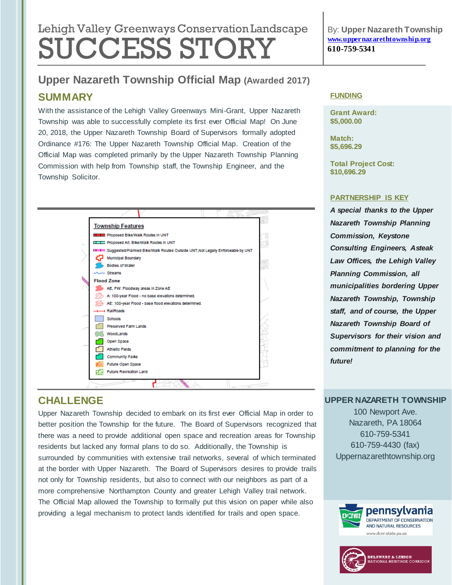# Lehigh Valley Greenways Conservation Landscape SUCCESS STORY

By: **Upper Nazareth Township [www.uppernazarethtownship.org](http://www.uppernazarethtownship.org/) 610-759-5341**

# **Upper Nazareth Township Official Map (Awarded 2017)**

## **SUMMARY**

With the assistance of the Lehigh Valley Greenways Mini-Grant, Upper Nazareth Township was able to successfully complete its first ever Official Map! On June 20, 2018, the Upper Nazareth Township Board of Supervisors formally adopted Ordinance #176: The Upper Nazareth Township Official Map. Creation of the Official Map was completed primarily by the Upper Nazareth Township Planning Commission with help from Township staff, the Township Engineer, and the Township Solicitor.



# **CHALLENGE**

Upper Nazareth Township decided to embark on its first ever Official Map in order to better position the Township for the future. The Board of Supervisors recognized that there was a need to provide additional open space and recreation areas for Township residents but lacked any formal plans to do so. Additionally, the Township is surrounded by communities with extensive trail networks, several of which terminated at the border with Upper Nazareth. The Board of Supervisors desires to provide trails not only for Township residents, but also to connect with our neighbors as part of a more comprehensive Northampton County and greater Lehigh Valley trail network. The Official Map allowed the Township to formally put this vision on paper while also providing a legal mechanism to protect lands identified for trails and open space.

#### **FUNDING**

**Grant Award: \$5,000.00**

**Match: \$5,696.29**

**Total Project Cost: \$10,696.29**

#### **PARTNERSHIP IS KEY**

*A special thanks to the Upper Nazareth Township Planning Commission, Keystone Consulting Engineers, Asteak Law Offices, the Lehigh Valley Planning Commission, all municipalities bordering Upper Nazareth Township, Township staff, and of course, the Upper Nazareth Township Board of Supervisors for their vision and commitment to planning for the future!*

#### **UPPER NAZARETH TOWNSHIP**

100 Newport Ave. Nazareth, PA 18064 610-759-5341 610-759-4430 (fax) Uppernazarethtownship.org